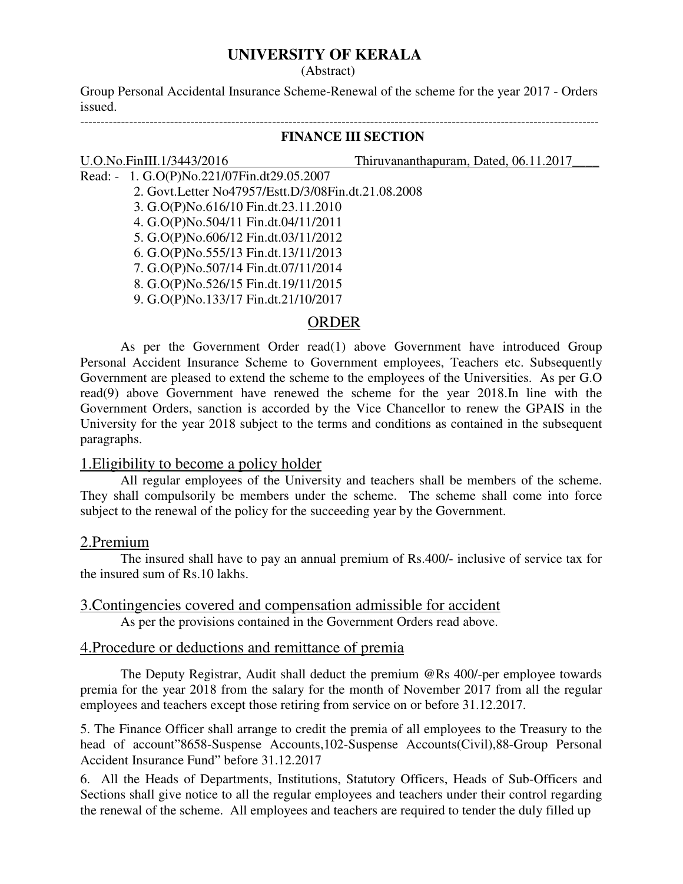# **UNIVERSITY OF KERALA**

(Abstract)

Group Personal Accidental Insurance Scheme-Renewal of the scheme for the year 2017 - Orders issued.

-------------------------------------------------------------------------------------------------------------------------------

#### **FINANCE III SECTION**

#### U.O.No.FinIII.1/3443/2016 Thiruvananthapuram, Dated, 06.11.2017

- Read: 1. G.O(P)No.221/07Fin.dt29.05.2007 2. Govt.Letter No47957/Estt.D/3/08Fin.dt.21.08.2008 3. G.O(P)No.616/10 Fin.dt.23.11.2010 4. G.O(P)No.504/11 Fin.dt.04/11/2011 5. G.O(P)No.606/12 Fin.dt.03/11/2012 6. G.O(P)No.555/13 Fin.dt.13/11/2013 7. G.O(P)No.507/14 Fin.dt.07/11/2014
	- 8. G.O(P)No.526/15 Fin.dt.19/11/2015
	- 9. G.O(P)No.133/17 Fin.dt.21/10/2017

#### ORDER

As per the Government Order read(1) above Government have introduced Group Personal Accident Insurance Scheme to Government employees, Teachers etc. Subsequently Government are pleased to extend the scheme to the employees of the Universities. As per G.O read(9) above Government have renewed the scheme for the year 2018.In line with the Government Orders, sanction is accorded by the Vice Chancellor to renew the GPAIS in the University for the year 2018 subject to the terms and conditions as contained in the subsequent paragraphs.

## 1.Eligibility to become a policy holder

All regular employees of the University and teachers shall be members of the scheme. They shall compulsorily be members under the scheme. The scheme shall come into force subject to the renewal of the policy for the succeeding year by the Government.

#### 2.Premium

 The insured shall have to pay an annual premium of Rs.400/- inclusive of service tax for the insured sum of Rs.10 lakhs.

# 3.Contingencies covered and compensation admissible for accident

As per the provisions contained in the Government Orders read above.

# 4.Procedure or deductions and remittance of premia

 The Deputy Registrar, Audit shall deduct the premium @Rs 400/-per employee towards premia for the year 2018 from the salary for the month of November 2017 from all the regular employees and teachers except those retiring from service on or before 31.12.2017.

5. The Finance Officer shall arrange to credit the premia of all employees to the Treasury to the head of account"8658-Suspense Accounts,102-Suspense Accounts(Civil),88-Group Personal Accident Insurance Fund" before 31.12.2017

6. All the Heads of Departments, Institutions, Statutory Officers, Heads of Sub-Officers and Sections shall give notice to all the regular employees and teachers under their control regarding the renewal of the scheme. All employees and teachers are required to tender the duly filled up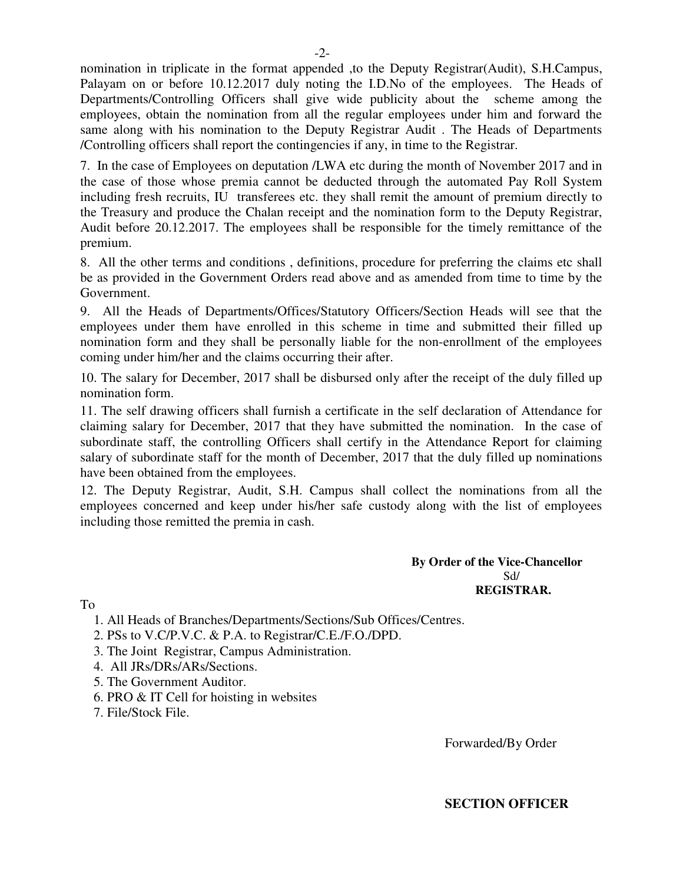nomination in triplicate in the format appended ,to the Deputy Registrar(Audit), S.H.Campus, Palayam on or before 10.12.2017 duly noting the I.D.No of the employees. The Heads of Departments/Controlling Officers shall give wide publicity about the scheme among the employees, obtain the nomination from all the regular employees under him and forward the same along with his nomination to the Deputy Registrar Audit . The Heads of Departments /Controlling officers shall report the contingencies if any, in time to the Registrar.

7. In the case of Employees on deputation /LWA etc during the month of November 2017 and in the case of those whose premia cannot be deducted through the automated Pay Roll System including fresh recruits, IU transferees etc. they shall remit the amount of premium directly to the Treasury and produce the Chalan receipt and the nomination form to the Deputy Registrar, Audit before 20.12.2017. The employees shall be responsible for the timely remittance of the premium.

8. All the other terms and conditions , definitions, procedure for preferring the claims etc shall be as provided in the Government Orders read above and as amended from time to time by the Government.

9. All the Heads of Departments/Offices/Statutory Officers/Section Heads will see that the employees under them have enrolled in this scheme in time and submitted their filled up nomination form and they shall be personally liable for the non-enrollment of the employees coming under him/her and the claims occurring their after.

10. The salary for December, 2017 shall be disbursed only after the receipt of the duly filled up nomination form.

11. The self drawing officers shall furnish a certificate in the self declaration of Attendance for claiming salary for December, 2017 that they have submitted the nomination. In the case of subordinate staff, the controlling Officers shall certify in the Attendance Report for claiming salary of subordinate staff for the month of December, 2017 that the duly filled up nominations have been obtained from the employees.

12. The Deputy Registrar, Audit, S.H. Campus shall collect the nominations from all the employees concerned and keep under his/her safe custody along with the list of employees including those remitted the premia in cash.

> **By Order of the Vice-Chancellor**  Sd/ **REGISTRAR.**

To

1. All Heads of Branches/Departments/Sections/Sub Offices/Centres.

- 2. PSs to V.C/P.V.C. & P.A. to Registrar/C.E./F.O./DPD.
- 3. The Joint Registrar, Campus Administration.
- 4. All JRs/DRs/ARs/Sections.
- 5. The Government Auditor.
- 6. PRO & IT Cell for hoisting in websites
- 7. File/Stock File.

Forwarded/By Order

**SECTION OFFICER**